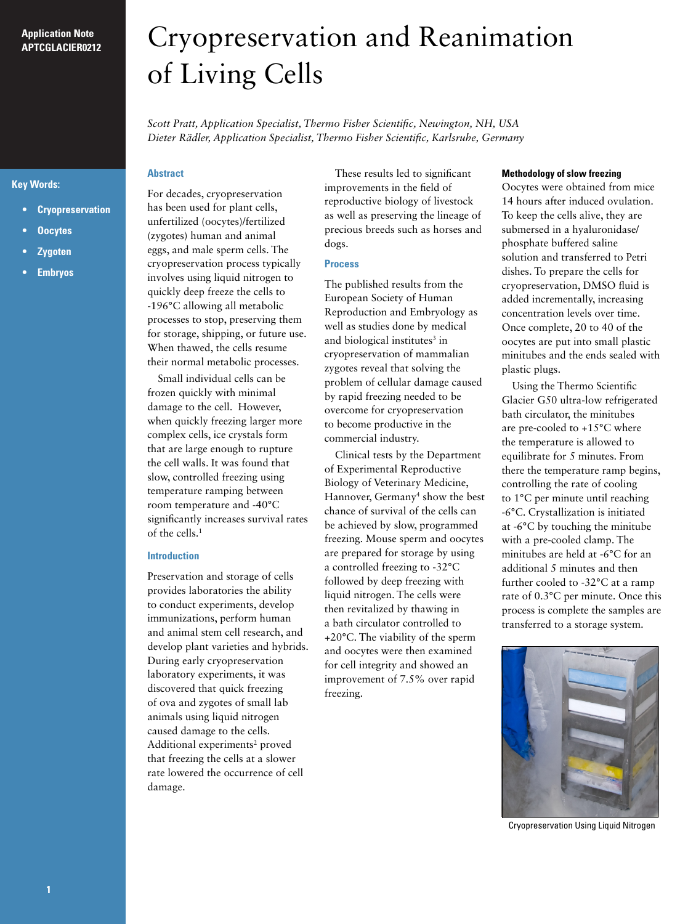# **Application Note APTCGLACIER0212**

# **Key Words:**

- **• Cryopreservation**
- **• Oocytes**
- **• Zygoten**
- *<u>Embryos</u>*

# Cryopreservation and Reanimation of Living Cells

*Scott Pratt, Application Specialist, Thermo Fisher Scientific, Newington, NH, USA Dieter Rädler, Application Specialist, Thermo Fisher Scientific, Karlsruhe, Germany*

# **Abstract**

For decades, cryopreservation has been used for plant cells, unfertilized (oocytes)/fertilized (zygotes) human and animal eggs, and male sperm cells. The cryopreservation process typically involves using liquid nitrogen to quickly deep freeze the cells to -196°C allowing all metabolic processes to stop, preserving them for storage, shipping, or future use. When thawed, the cells resume their normal metabolic processes.

Small individual cells can be frozen quickly with minimal damage to the cell. However, when quickly freezing larger more complex cells, ice crystals form that are large enough to rupture the cell walls. It was found that slow, controlled freezing using temperature ramping between room temperature and -40°C significantly increases survival rates of the cells.1

# **Introduction**

Preservation and storage of cells provides laboratories the ability to conduct experiments, develop immunizations, perform human and animal stem cell research, and develop plant varieties and hybrids. During early cryopreservation laboratory experiments, it was discovered that quick freezing of ova and zygotes of small lab animals using liquid nitrogen caused damage to the cells. Additional experiments<sup>2</sup> proved that freezing the cells at a slower rate lowered the occurrence of cell damage.

These results led to significant improvements in the field of reproductive biology of livestock as well as preserving the lineage of precious breeds such as horses and dogs.

#### **Process**

The published results from the European Society of Human Reproduction and Embryology as well as studies done by medical and biological institutes<sup>3</sup> in cryopreservation of mammalian zygotes reveal that solving the problem of cellular damage caused by rapid freezing needed to be overcome for cryopreservation to become productive in the commercial industry.

Clinical tests by the Department of Experimental Reproductive Biology of Veterinary Medicine, Hannover, Germany<sup>4</sup> show the best chance of survival of the cells can be achieved by slow, programmed freezing. Mouse sperm and oocytes are prepared for storage by using a controlled freezing to -32°C followed by deep freezing with liquid nitrogen. The cells were then revitalized by thawing in a bath circulator controlled to +20°C. The viability of the sperm and oocytes were then examined for cell integrity and showed an improvement of 7.5% over rapid freezing.

## **Methodology of slow freezing**

Oocytes were obtained from mice 14 hours after induced ovulation. To keep the cells alive, they are submersed in a hyaluronidase/ phosphate buffered saline solution and transferred to Petri dishes. To prepare the cells for cryopreservation, DMSO fluid is added incrementally, increasing concentration levels over time. Once complete, 20 to 40 of the oocytes are put into small plastic minitubes and the ends sealed with plastic plugs.

Using the Thermo Scientific Glacier G50 ultra-low refrigerated bath circulator, the minitubes are pre-cooled to +15°C where the temperature is allowed to equilibrate for 5 minutes. From there the temperature ramp begins, controlling the rate of cooling to 1°C per minute until reaching -6°C. Crystallization is initiated at -6°C by touching the minitube with a pre-cooled clamp. The minitubes are held at -6°C for an additional 5 minutes and then further cooled to -32°C at a ramp rate of 0.3°C per minute. Once this process is complete the samples are transferred to a storage system.



Cryopreservation Using Liquid Nitrogen